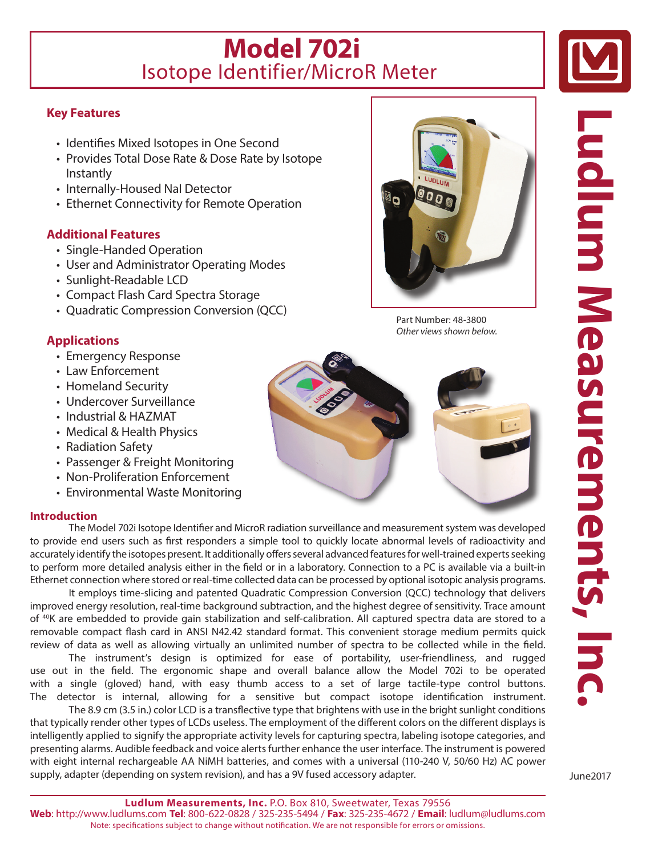## **Model 702i** Isotope Identifier/MicroR Meter

## **Key Features**

- Identifies Mixed Isotopes in One Second
- Provides Total Dose Rate & Dose Rate by Isotope Instantly
- Internally-Housed NaI Detector
- Ethernet Connectivity for Remote Operation

## **Additional Features**

- Single-Handed Operation
- User and Administrator Operating Modes
- Sunlight-Readable LCD
- Compact Flash Card Spectra Storage
- Quadratic Compression Conversion (QCC)

## **Applications**

- Emergency Response
- Law Enforcement
- Homeland Security
- Undercover Surveillance
- Industrial & HAZMAT
- Medical & Health Physics
- Radiation Safety
- Passenger & Freight Monitoring
- Non-Proliferation Enforcement
- Environmental Waste Monitoring

### **Introduction**

The Model 702i Isotope Identifier and MicroR radiation surveillance and measurement system was developed to provide end users such as first responders a simple tool to quickly locate abnormal levels of radioactivity and accurately identify the isotopes present. It additionally offers several advanced features for well-trained experts seeking to perform more detailed analysis either in the field or in a laboratory. Connection to a PC is available via a built-in Ethernet connection where stored or real-time collected data can be processed by optional isotopic analysis programs.

It employs time-slicing and patented Quadratic Compression Conversion (QCC) technology that delivers improved energy resolution, real-time background subtraction, and the highest degree of sensitivity. Trace amount of 40K are embedded to provide gain stabilization and self-calibration. All captured spectra data are stored to a removable compact flash card in ANSI N42.42 standard format. This convenient storage medium permits quick review of data as well as allowing virtually an unlimited number of spectra to be collected while in the field.

The instrument's design is optimized for ease of portability, user-friendliness, and rugged use out in the field. The ergonomic shape and overall balance allow the Model 702i to be operated with a single (gloved) hand, with easy thumb access to a set of large tactile-type control buttons. The detector is internal, allowing for a sensitive but compact isotope identification instrument.

The 8.9 cm (3.5 in.) color LCD is a transflective type that brightens with use in the bright sunlight conditions that typically render other types of LCDs useless. The employment of the different colors on the different displays is intelligently applied to signify the appropriate activity levels for capturing spectra, labeling isotope categories, and presenting alarms. Audible feedback and voice alerts further enhance the user interface. The instrument is powered with eight internal rechargeable AA NiMH batteries, and comes with a universal (110-240 V, 50/60 Hz) AC power supply, adapter (depending on system revision), and has a 9V fused accessory adapter.



Part Number: 48-3800 *Other views shown below.*



**Ludlum Measurements, Inc Ludlum Measurements, Inc**